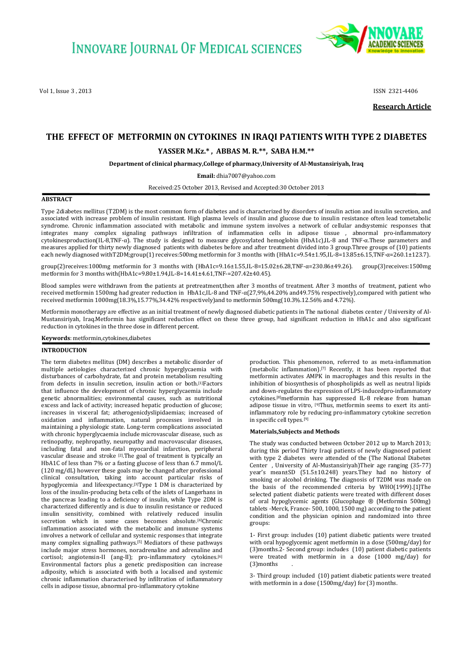Vol 1, Issue 3 , 2013 **ISSN 2321-4406** 



**Research Article**

# **THE EFFECT OF METFORMIN 0N CYTOKINES IN IRAQI PATIENTS WITH TYPE 2 DIABETES**

# **YASSER M.Kz.\* , ABBAS M. R.\*\*, SABA H.M.\*\***

**Department of clinical pharmacy,College of pharmacy,University of Al-Mustansiriyah, Iraq**

**Email:** dhia7007@yahoo.com

# Received:25 October 2013, Revised and Accepted:30 October 2013

# **ABSTRACT**

Type 2diabetes mellitus (T2DM) is the most common form of diabetes and is characterized by disorders of insulin action and insulin secretion, and associated with increase problem of insulin resistant. High plasma levels of insulin and glucose due to insulin resistance often lead tometabolic syndrome. Chronic inflammation associated with metabolic and immune system involves a network of cellular andsystemic responses that integrates many complex signaling pathways infiltration of inflammation cells in adipose tissue , abnormal pro-inflammatory cytokinesproduction(IL-8,TNF-α). The study is designed to measure glycosylated hemoglobin (HbA1c),IL-8 and TNF-α.These parameters and measures applied for thirty newly diagnosed patients with diabetes before and after treatment divided into 3 group.Three groups of (10) patients each newly diagnosed withT2DM;group(1) receives:500mg metformin for 3 months with (HbA1c=9.54±1.95,IL-8=13.85±6.15,TNF-α=260.1±123.7).

group(2)receives:1000mg metformin for 3 months with (HbA1c=9.16±1.55,IL-8=15.02±6.28,TNF-α=230.86±49.26). group(3)receives:1500mg metformin for 3 months with(HbA1c=9.80±1.94,IL-8=14.41±4.61,TNF-=207.42±40.45).

Blood samples were withdrawn from the patients at pretreatment,then after 3 months of treatment. After 3 months of treatment, patient who received metformin 1500mg had greater reduction in HbA1c,IL-8 and TNF-α(27,9%,44.20% and49.75% respectively),compared with patient who received metformin 1000mg(18.3%,15.77%,34.42% respectively)and to metformin 500mg(10.3%.12.56% and 4.72%).

Metformin monotherapy are effective as an initial treatment of newly diagnosed diabetic patients in The national diabetes center / University of Al-Mustansiriyah, Iraq.Metformin has significant reduction effect on these three group, had significant reduction in HbA1c and also significant reduction in cytokines in the three dose in different percent.

**Keywords**: metformin,cytokines,diabetes

#### **INTRODUCTION**

The term diabetes mellitus (DM) describes a metabolic disorder of multiple aetiologies characterized chronic hyperglycaemia with disturbances of carbohydrate, fat and protein metabolism resulting from defects in insulin secretion, insulin action or both.[1]Factors that influence the development of chronic hyperglycaemia include genetic abnormalities; environmental causes, such as nutritional excess and lack of activity; increased hepatic production of glucose; increases in visceral fat; atherogenicdyslipidaemias; increased of oxidation and inflammation, natural processes involved in maintaining a physiologic state. Long-term complications associated with chronic hyperglycaemia include microvascular disease, such as retinopathy, nephropathy, neuropathy and macrovascular diseases, including fatal and non-fatal myocardial infarction, peripheral vascular disease and stroke [2].The goal of treatment is typically an HbA1C of less than 7% or a fasting glucose of less than 6.7 mmol/L (120 mg/dL) however these goals may be changed after professional clinical consultation, taking into account particular risks of hypoglycemia and lifeexpectancy.[3]Type 1 DM is characterized by loss of the insulin-producing beta cells of the islets of Langerhans in the pancreas leading to a deficiency of insulin, while Type 2DM is characterized differently and is due to insulin resistance or reduced insulin sensitivity, combined with relatively reduced insulin secretion which in some cases becomes absolute.<sup>[4]</sup>Chronic inflammation associated with the metabolic and immune systems involves a network of cellular and systemic responses that integrate many complex signalling pathways.[5] Mediators of these pathways include major stress hormones, noradrenaline and adrenaline and cortisol; angiotensin-II (ang-II); pro-inflammatory cytokines.<sup>[6]</sup> Environmental factors plus a genetic predisposition can increase adiposity, which is associated with both a localised and systemic chronic inflammation characterised by infiltration of inflammatory cells in adipose tissue, abnormal pro-inflammatory cytokine

production. This phenomenon, referred to as meta-inflammation (metabolic inflammation).[7] Recently, it has been reported that metformin activates AMPK in macrophages and this results in the inhibition of biosynthesis of phospholipids as well as neutral lipids and down-regulates the expression of LPS-inducedpro-inflammatory cytokines.[8]metformin has suppressed IL-8 release from human adipose tissue in vitro, [9]Thus, metformin seems to exert its antiinflammatory role by reducing pro-inflammatory cytokine secretion in specific cell types.[9]

### **Materials,Subjects and Methods**

The study was conducted between October 2012 up to March 2013; during this period Thirty Iraqi patients of newly diagnosed patient with type 2 diabetes were attended of the (The National Diabetes Center , University of Al-Mustansiriyah)Their age ranging (35-77) year's mean±SD (51.5±10.248) years.They had no history of smoking or alcohol drinking. The diagnosis of T2DM was made on the basis of the recommended criteria by WHO(1999).[1]The selected patient diabetic patients were treated with different doses of oral hypoglycemic agents (Glucophage ® (Metformin 500mg) tablets -Merck, France- 500, 1000, 1500 mg) according to the patient condition and the physician opinion and randomized into three groups:

1- First group: includes (10) patient diabetic patients were treated with oral hypoglycemic agent metformin in a dose (500mg/day) for (3)months.2- Second group: includes (10) patient diabetic patients were treated with metformin in a dose (1000 mg/day) for (3)months .

3- Third group: included (10) patient diabetic patients were treated with metformin in a dose (1500mg/day) for (3) months.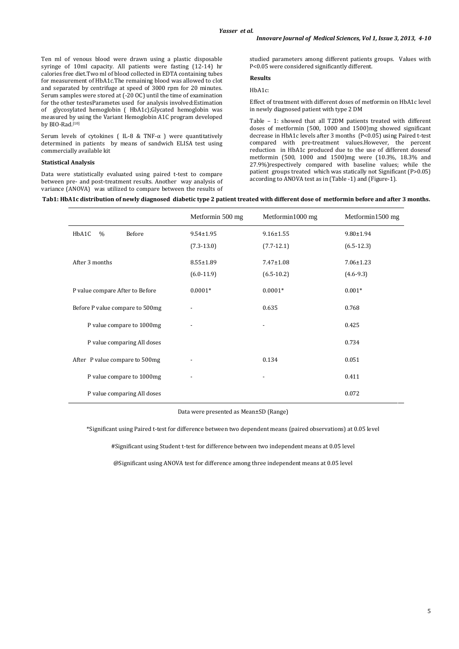Ten ml of venous blood were drawn using a plastic disposable syringe of 10ml capacity. All patients were fasting (12-14) hr calories free diet.Two ml of blood collected in EDTA containing tubes for measurement of HbA1c.The remaining blood was allowed to clot and separated by centrifuge at speed of 3000 rpm for 20 minutes. Serum samples were stored at (-20 OC) until the time of examination for the other testesParametes used for analysis involved:Estimation of glycosylated hemoglobin ( HbA1c);Glycated hemoglobin was measured by using the Variant Hemoglobin A1C program developed by BIO-Rad.<sup>[10]</sup>

Serum levels of cytokines ( IL-8 & TNF- $\alpha$  ) were quantitatively determined in patients by means of sandwich ELISA test using commercially available kit

### **Statistical Analysis**

Data were statistically evaluated using paired t-test to compare between pre- and post-treatment results. Another way analysis of variance (ANOVA) was utilized to compare between the results of studied parameters among different patients groups. Values with P<0.05 were considered significantly different.

#### **Results**

#### HbA1c:

Effect of treatment with different doses of metformin on HbA1c level in newly diagnosed patient with type 2 DM

Table – 1: showed that all T2DM patients treated with different doses of metformin (500, 1000 and 1500)mg showed significant decrease in HbA1c levels after 3 months (P<0.05) using Paired t-test compared with pre-treatment values.However, the percent reduction in HbA1c produced due to the use of different dosesof metformin (500, 1000 and 1500)mg were (10.3%, 18.3% and 27.9%)respectively compared with baseline values; while the patient groups treated which was statically not Significant (P>0.05) according to ANOVA test as in (Table -1) and (Figure-1).

|  | Tab1: HbA1c distribution of newly diagnosed diabetic type 2 patient treated with different dose of metformin before and after 3 months. |  |
|--|-----------------------------------------------------------------------------------------------------------------------------------------|--|
|--|-----------------------------------------------------------------------------------------------------------------------------------------|--|

|                                 | Metformin 500 mg | Metformin $1000$ mg | Metformin1500 mg |
|---------------------------------|------------------|---------------------|------------------|
| HbA1C<br>Before<br>$\%$         | $9.54 \pm 1.95$  | $9.16 \pm 1.55$     | $9.80 \pm 1.94$  |
|                                 | $(7.3-13.0)$     | $(7.7-12.1)$        | $(6.5-12.3)$     |
| After 3 months                  | $8.55 \pm 1.89$  | $7.47 \pm 1.08$     | $7.06 \pm 1.23$  |
|                                 | $(6.0-11.9)$     | $(6.5-10.2)$        | $(4.6-9.3)$      |
| P value compare After to Before | $0.0001*$        | $0.0001*$           | $0.001*$         |
| Before P value compare to 500mg |                  | 0.635               | 0.768            |
| P value compare to 1000mg       |                  |                     | 0.425            |
| P value comparing All doses     |                  |                     | 0.734            |
| After P value compare to 500mg  |                  | 0.134               | 0.051            |
| P value compare to 1000mg       |                  |                     | 0.411            |
| P value comparing All doses     |                  |                     | 0.072            |

# Data were presented as Mean±SD (Range)

\*Significant using Paired t-test for difference between two dependent means (paired observations) at 0.05 level

#Significant using Student t-test for difference between two independent means at 0.05 level

@Significant using ANOVA test for difference among three independent means at 0.05 level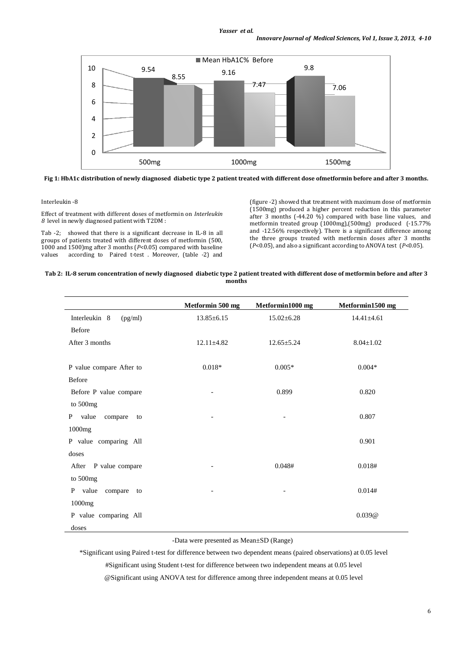

**Fig 1: HbA1c distribution of newly diagnosed diabetic type 2 patient treated with different dose ofmetformin before and after 3 months.** 

### Interleukin -8

Effect of treatment with different doses of metformin on *Interleukin 8* level in newly diagnosed patient with T2DM :

Tab -2; showed that there is a significant decrease in IL-8 in all groups of patients treated with different doses of metformin (500, 1000 and 1500)mg after 3 months (*P*<0.05) compared with baseline values according to Paired t-test . Moreover, (table -2) and (figure -2) showed that treatment with maximum dose of metformin (1500mg) produced a higher percent reduction in this parameter after 3 months (-44.20 %) compared with base line values, and metformin treated group (1000mg),(500mg) produced (-15.77% and -12.56% respectively). There is a significant difference among the three groups treated with metformin doses after 3 months (*P*<0.05), and also a significant according to ANOVA test (*P*<0.05).

#### **Tab 2: IL-8 serum concentration of newly diagnosed diabetic type 2 patient treated with different dose of metformin before and after 3 months**

|                          | Metformin 500 mg | Metformin1000 mg | Metformin1500 mg |
|--------------------------|------------------|------------------|------------------|
| Interleukin 8<br>(pg/ml) | $13.85 \pm 6.15$ | $15.02 \pm 6.28$ | $14.41 \pm 4.61$ |
| Before                   |                  |                  |                  |
| After 3 months           | $12.11 \pm 4.82$ | $12.65 \pm 5.24$ | $8.04 \pm 1.02$  |
|                          |                  |                  |                  |
| P value compare After to | $0.018*$         | $0.005*$         | $0.004*$         |
| Before                   |                  |                  |                  |
| Before P value compare   |                  | 0.899            | 0.820            |
| to 500mg                 |                  |                  |                  |
| P value<br>compare<br>to |                  |                  | 0.807            |
| 1000mg                   |                  |                  |                  |
| P value comparing All    |                  |                  | 0.901            |
| doses                    |                  |                  |                  |
| After P value compare    |                  | 0.048#           | 0.018#           |
| to 500mg                 |                  |                  |                  |
| P value<br>compare to    |                  |                  | 0.014#           |
| 1000mg                   |                  |                  |                  |
| P value comparing All    |                  |                  | 0.039@           |
| doses                    |                  |                  |                  |

# -Data were presented as Mean±SD (Range)

\*Significant using Paired t-test for difference between two dependent means (paired observations) at 0.05 level #Significant using Student t-test for difference between two independent means at 0.05 level @Significant using ANOVA test for difference among three independent means at 0.05 level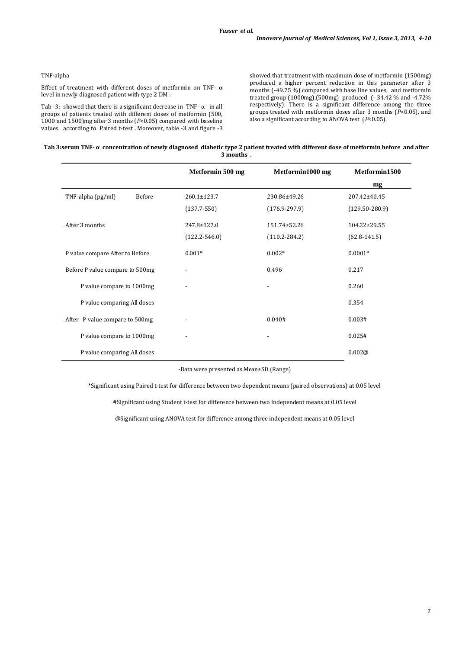### TNF-alpha

Effect of treatment with different doses of metformin on TNF- α level in newly diagnosed patient with type 2 DM :

Tab -3: showed that there is a significant decrease in TNF- $\alpha$  in all groups of patients treated with different doses of metformin (500, 1000 and 1500)mg after 3 months (*P*<0.05) compared with baseline values according to Paired t-test . Moreover, table -3 and figure -3 showed that treatment with maximum dose of metformin (1500mg) produced a higher percent reduction in this parameter after 3 months (-49.75 %) compared with base line values, and metformin treated group (1000mg),(500mg) produced (- 34.42 % and -4.72% respectively). There is a significant difference among the three groups treated with metformin doses after 3 months (*P*<0.05), and also a significant according to ANOVA test (*P*<0.05).

### **Tab 3:serum TNF- α concentration of newly diagnosed diabetic type 2 patient treated with different dose of metformin before and after 3 months .**

|                                 | Metformin 500 mg  | Metformin1000 mg  | Metformin1500      |
|---------------------------------|-------------------|-------------------|--------------------|
|                                 |                   |                   | mg                 |
| Before<br>TNF-alpha (pg/ml)     | $260.1 \pm 123.7$ | 230.86±49.26      | 207.42±40.45       |
|                                 | $(137.7 - 550)$   | $(176.9 - 297.9)$ | $(129.50 - 280.9)$ |
| After 3 months                  | 247.8±127.0       | 151.74±52.26      | $104.22 \pm 29.55$ |
|                                 | $(122.2 - 546.0)$ | $(110.2 - 284.2)$ | $(62.8-141.5)$     |
| P value compare After to Before | $0.001*$          | $0.002*$          | $0.0001*$          |
| Before P value compare to 500mg |                   | 0.496             | 0.217              |
| P value compare to 1000mg       |                   | -                 | 0.260              |
| P value comparing All doses     |                   |                   | 0.354              |
| After P value compare to 500mg  |                   | 0.040#            | 0.003#             |
| P value compare to 1000mg       |                   | -                 | 0.025#             |
| P value comparing All doses     |                   |                   | 0.002@             |

-Data were presented as Mean±SD (Range)

\*Significant using Paired t-test for difference between two dependent means (paired observations) at 0.05 level

#Significant using Student t-test for difference between two independent means at 0.05 level

@Significant using ANOVA test for difference among three independent means at 0.05 level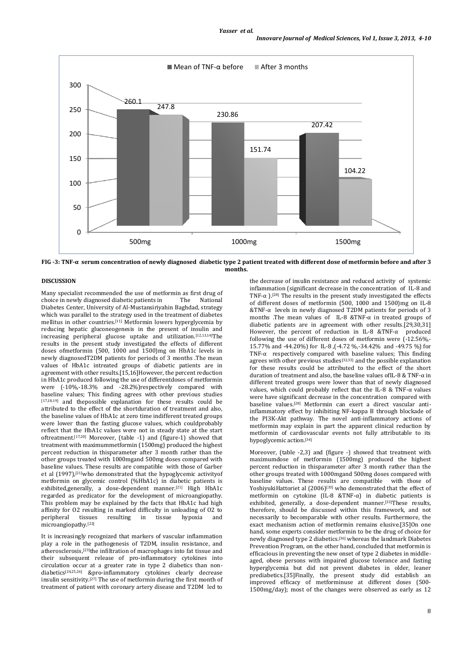



#### **DISCUSSION**

Many specialist recommended the use of metformin as first drug of choice in newly diagnosed diabetic patients in The National Diabetes Center, University of Al-Mustansiriyahin Baghdad, strategy which was parallel to the strategy used in the treatment of diabetes mellitus in other countries.[11] Metformin lowers hyperglycemia by reducing hepatic gluconeogenesis in the present of insulin and increasing peripheral glucose uptake and utilization.[12,13,14]The results in the present study investigated the effects of different doses ofmetformin (500, 1000 and 1500)mg on HbA1c levels in newly diagnosedT2DM patients for periods of 3 months .The mean values of HbA1c intreated groups of diabetic patients are in agreement with other results.[15,16]However, the percent reduction in HbA1c produced following the use of differentdoses of metformin were (-10%,-18.3% and -28.2%)respectively compared with baseline values; This finding agrees with other previous studies [17,18,19] and thepossible explanation for these results could be attributed to the effect of the shortduration of treatment and also, the baseline values of HbA1c at zero time indifferent treated groups were lower than the fasting glucose values, which couldprobably reflect that the HbA1c values were not in steady state at the start oftreatment.[17,20] Moreover, (table -1) and (figure-1) showed that treatment with maximummetformin (1500mg) produced the highest percent reduction in thisparameter after 3 month rather than the other groups treated with 1000mgand 500mg doses compared with baseline values. These results are compatible with those of Garber et al (1997),[21]who demonstrated that the hypoglycemic activityof metformin on glycemic control (%HbA1c) in diabetic patients is exhibited,generally, a dose-dependent manner.[21] High HbA1c regarded as predicator for the development of microangiopathy. This problem may be explained by the facts that HbA1c had high affinity for O2 resulting in marked difficulty in unloading of O2 to peripheral tissues resulting in tissue hypoxia and microangiopathy.[22]

It is increasingly recognized that markers of vascular inflammation play a role in the pathogenesis of T2DM, insulin resistance, and atherosclerosis,[23]the infiltration of macrophages into fat tissue and their subsequent release of pro-inflammatory cytokines into circulation occur at a greater rate in type 2 diabetics than nondiabetics[24,25,26] &pro-inflammatory cytokines clearly decrease insulin sensitivity.<sup>[27]</sup> The use of metformin during the first month of treatment of patient with coronary artery disease and T2DM led to

the decrease of insulin resistance and reduced activity of systemic inflammation (significant decrease in the concentration of IL-8 and TNF- $\alpha$  ).<sup>[28]</sup> The results in the present study investigated the effects of different doses of metformin (500, 1000 and 1500)mg on IL-8 &TNF-α levels in newly diagnosed T2DM patients for periods of 3 months .The mean values of IL-8 &TNF- $\alpha$  in treated groups of diabetic patients are in agreement with other results.[29,30,31] However, the percent of reduction in IL-8 &TNF-α produced following the use of different doses of metformin were (-12.56%,- 15.77% and -44.20%) for IL-8 ,(-4.72 %,-34.42% and -49.75 %) for TNF-α respectively compared with baseline values; This finding agrees with other previous studies[32,33] and the possible explanation for these results could be attributed to the effect of the short duration of treatment and also, the baseline values of  $L-8$  & TNF- $\alpha$  in different treated groups were lower than that of newly diagnosed values, which could probably reflect that the IL-8 & TNF-α values were have significant decrease in the concentration compared with baseline values.[28] Metformin can exert a direct vascular antiinflammatory effect by inhibiting NF-kappa B through blockade of the PI3K-Akt pathway. The novel anti-inflammatory actions of metformin may explain in part the apparent clinical reduction by metformin of cardiovascular events not fully attributable to its hypoglycemic action.[34]

Moreover, (table -2,3) and (figure -) showed that treatment with maximumdose of metformin (1500mg) produced the highest percent reduction in thisparameter after 3 month rather than the other groups treated with 1000mgand 500mg doses compared with baseline values. These results are compatible YoshiyukiHattoriet al (2006)<sup>[33]</sup> who demonstrated that the effect of metformin on cytokine  $(IL-8 \& TNF-\alpha)$  in diabetic patients is exhibited, generally, a dose-dependent manner.<sup>[33]</sup>These results, therefore, should be discussed within this framework, and not necessarily to becomparable with other results. Furthermore, the exact mechanism action of metformin remains elusive.[35]On one hand, some experts consider metformin to be the drug of choice for newly diagnosed type 2 diabetics.[36] whereas the landmark Diabetes Prevention Program, on the other hand, concluded that metformin is efficacious in preventing the new onset of type 2 diabetes in middleaged, obese persons with impaired glucose tolerance and fasting hyperglycemia but did not prevent diabetes in older, leaner prediabetics.[35]Finally, the present study did establish an improved efficacy of metforminuse at different doses (500- 1500mg/day); most of the changes were observed as early as 12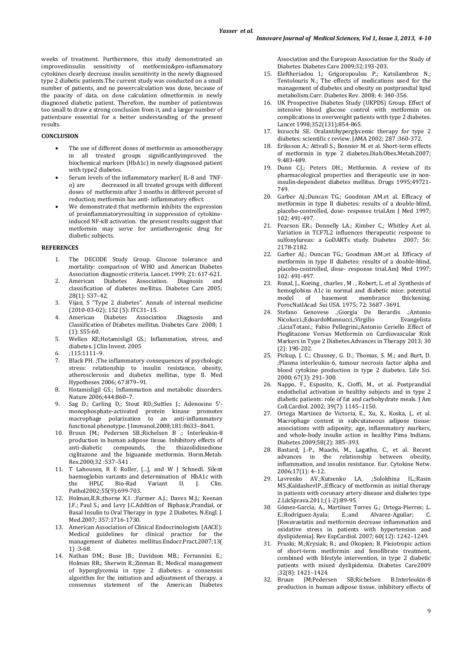weeks of treatment. Furthermore, this study demonstrated an improvedinsulin sensitivity of metformin&pro-inflammatory cytokines clearly decrease insulin sensitivity in the newly diagnosed type 2 diabetic patients.The current study was conducted on a small number of patients, and no powercalculation was done, because of the paucity of data, on dose calculation ofmetformin in newly diagnosed diabetic patient. Therefore, the number of patientswas too small to draw a strong conclusion from it, and a larger number of patientsare essential for a better understanding of the present results.

## **CONCLUSION**

- The use of different doses of metformin as amonotherapy in all treated groups significantlyimproved the biochemical markers (HbA1c) in newly diagnosed patient with type2 diabetes.
- Serum levels of the inflammatory marker( IL-8 and TNF- $\alpha$ ) are decreased in all treated groups with different doses of metformin after 3 months in different percent of reduction; metformin has anti- inflammatory effect.
- We demonstrated that metformin inhibits the expression of proinflammatoryresulting in suppression of cytokineinduced NF-κB activation. the present results suggest that metformin may serve for antiatherogenic drug for diabetic subjects.

### **REFERENCES**

- 1. The DECODE Study Group. Glucose tolerance and mortality: comparison of WHO and American Diabetes Association diagnostic criteria. Lancet. 1999; 21: 617-621.
- 2. American Diabetes Association. Diagnosis and classification of diabetes mellitus. Diabetes Care 2005; 28(1): S37–42.
- 3. Vijan, S "Type 2 diabetes". Annals of internal medicine (2010-03-02); 152 (5): ITC31–15.
- 4. American Diabetes Association .Diagnosis and Classification of Diabetes mellitus. Diabetes Care 2008; 1 (1): S55-60.
- 5. Wellen KE;Hotamisligil GS.; Inflammation, stress, and diabetes. J Clin Invest. 2005
- 6.  $:115:1111-9$ .
- 7. Black PH. ;The inflammatory consequences of psychologic stress: relationship to insulin resistance, obesity, atherosclerosis and diabetes mellitus, type II. Med Hypotheses 2006; 67:879–91.
- 8. Hotamisligil GS.; Inflammation and metabolic disorders. Nature 2006;444:860–7.
- 9. Sag D.; Carling D.; Stout RD.;Suttles J.; Adenosine 5' monophosphate-activated protein kinase promotes macrophage polarization to an anti-inflammatory functional phenotype. J Immunol.2008;181:8633–8641.
- 10. Bruun JM.; Pedersen SB.;Richelsen B .; Interleukin-8 production in human adipose tissue. Inhibitory effects of anti-diabetic compounds, the thiazolidinedione ciglitazone and the biguanide metformin. Horm.Metab. Res.2000;32 :537–541 .
- 11. T Lahousen, R E Roller, [...], and W J Schnedl. Silent haemoglobin variants and determination of HbA1c with<br>the HPLC Bio-Rad Variant II. J. Clin. the HPLC Bio-Rad Variant II. J. Clin. Pathol2002;55(9):699-703.
- 12. Holman,R.R.;thorne K.I. ;Farmer A.J.; Daves M.J.; Keenan J.F.; Paul S.; and Levy J.C.Addtion of Biphasic,Prandial, or Basal Insulin to Oral Therapy in type 2 Diabetes. N.Engl. J. Med.2007; 357:1716-1730.
- 13. American Association of Clinical Endocrinologists (AACE): Medical guidelines for clinical practice for the management of diabetes mellitus.Endocr.Pract.2007;13( 1) :3-68.
- 14. Nathan DM.; Buse JB.; Davidson MB.; Ferrannini E.; Holman RR.; Sherwin R.;Zinman B.; Medical management of hyperglycemia in type 2 diabetes. a consensus algorithm for the initiation and adjustment of therapy. a consensus statement of the American Diabetes

Association and the European Association for the Study of Diabetes. Diabetes Care 2009;32;193-203.

- 15. Eleftheriadou I.; Grigoropoulou P.; Katsilambros N.; Tentolouris N.; The effects of medications used for the management of diabetes and obesity on postprandial lipid metabolism.Curr. Diabetes Rev. 2008; 4: 340-356.
- 16. UK Prospective Diabetes Study (UKPDS) Group. Effect of intensive blood glucose control with metformin on complications in overweight patients with type 2 diabetes. Lancet 1998;352(131);854-865.
- 17. Inzucchi SE. Oralantihyperglycemic therapy for type 2 diabetes: scientific c review. JAMA 2002; 287 :360-372.
- 18. Eriksson A.; Attvall S.; Bonnier M. et al. Short-term effects of metformin in type 2 diabetes.Diab.Obes.Metab.2007; 9:483-489.
- 19. Dunn CJ.; Peters DH.; Metformin. A review of its pharmacological properties and therapeutic use in noninsulin-dependent diabetes mellitus. Drugs 1995;49721- 749.
- 20. Garber AJ.;Duncan TG.; Goodman AM.et al. Efficacy of metformin in type II diabetes: results of a double-blind, placebo-controlled, dose- response trial.Am J Med 1997; 102: 491-497.
- 21. Pearson ER.; Donnelly LA.; Kimber C.; Whitley A.et al. Variation in TCF7L2 influences therapeutic response to sulfonylureas: a GoDARTs study. Diabetes 2007; 56: 2178-2182.
- 22. Garber AJ.; Duncan TG.; Goodman AM.;et al. Efficacy of metformin in type II diabetes: results of a double-blind, placebo-controlled, dose- response trial.AmJ Med 1997; 102: 491-497.
- 23. Ronal, J., Koeing , charles , M . , Robert, L. et al .Synthesis of hemoglobins A1c in normal and diabetic mice: potential model of basement membrance thickening. PorocNatlAcad Sui USA. 1975; 72: 3687 -3691.
- 24. Stefano Genovese .;Giorgia De Berardis .;Antonio Nicolucci.;EdoardoMannucci.;Virgilio Evangelista .;LiciaTotani.; Fabio Pellegrini.;Antonio Ceriello .Effect of Pioglitazone Versus Metformin on Cardiovascular Risk Markers in Type 2 Diabetes.Advances in Therapy 2013; 30 (2): 190-202.
- 25. Pickup, J. C.; Chusney, G. D.; Thomas, S. M.; and Burt, D. ;Plasma interleukin-6, tumour necrosis factor alpha and blood cytokine production in type 2 diabetes. Life Sci. 2000; 67(3): 291–300.
- 26. Nappo, F., Esposito, K., Cioffi, M., et al. Postprandial endothelial activation in healthy subjects and in type 2 diabetic patients: role of fat and carbohydrate meals. J Am Coll.Cardiol. 2002; 39(7): 1145–1150.
- 27. Ortega Martinez de Victoria, E., Xu, X., Koska, J., et al. Macrophage content in subcutaneous adipose tissue: associations with adiposity, age, inflammatory markers, and whole-body insulin action in healthy Pima Indians. Diabetes 2009;58(2): 385–393.
- 28. Bastard, J.-P., Maachi, M., Lagathu, C., et al. Recent advances in the relationship between obesity, inflammation, and insulin resistance. Eur. Cytokine Netw. 2006;17(1): 4–12.
- 29. Lavrenko AV.;Kutsenko LA, .;Solokhina IL.;Rasin MS.;KaĭdashevIP..;Efficacy of metformin as initial therapy in patients with coronary artery disease and diabetes type 2.LikSprava.2011;(1-2):89-95.
- 30. Gómez-García; A., Martínez Torres G.; Ortega-Pierres; L. E.;Rodríguez-Ayala; E.;and Alvarez-Aguilar; C. [Rosuvastatin and metformin decrease inflammation and oxidative stress in patients with hypertension and dyslipidemia]. Rev EspCardiol. 2007; 60(12): 1242–1249.
- 31. Pruski; M.;Krysiak; R.; and Okopien; B. Pleiotropic action of short-term metformin and fenofibrate treatment, combined with lifestyle intervention, in type 2 diabetic patients with mixed dyslipidemia. Diabetes Care2009 ;32(8): 1421–1424.
- 32. Bruun JM;Pedersen SB;Richelsen B.Interleukin-8 production in human adipose tissue. inhibitory effects of